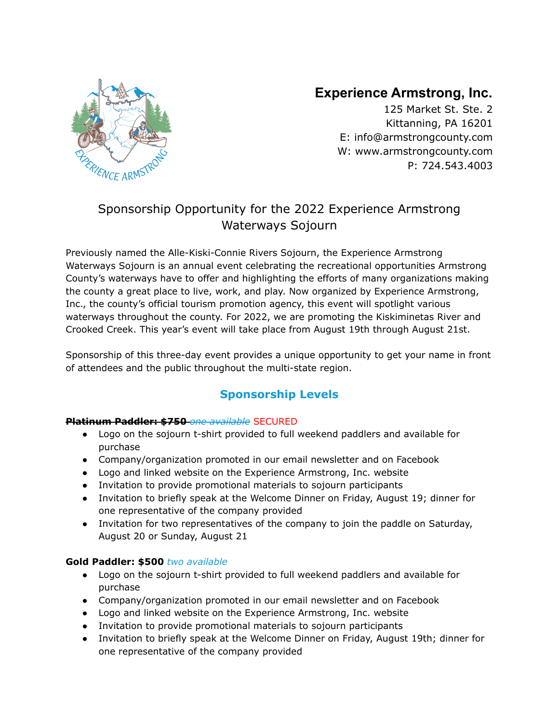

# **Experience Armstrong, Inc.**

125 Market St. Ste. 2 Kittanning, PA 16201 E: info[@armstrongcounty.com](mailto:director@armstrongcounty.com) W[:](http://www.armstrongcounty.com/) [www.armstrongcounty.com](http://www.armstrongcounty.com) P: 724.543.4003

# Sponsorship Opportunity for the 2022 Experience Armstrong Waterways Sojourn

Previously named the Alle-Kiski-Connie Rivers Sojourn, the Experience Armstrong Waterways Sojourn is an annual event celebrating the recreational opportunities Armstrong County's waterways have to offer and highlighting the efforts of many organizations making the county a great place to live, work, and play. Now organized by Experience Armstrong, Inc., the county's official tourism promotion agency, this event will spotlight various waterways throughout the county. For 2022, we are promoting the Kiskiminetas River and Crooked Creek. This year's event will take place from August 19th through August 21st.

Sponsorship of this three-day event provides a unique opportunity to get your name in front of attendees and the public throughout the multi-state region.

## **Sponsorship Levels**

### **Platinum Paddler: \$750** *one available* SECURED

- Logo on the sojourn t-shirt provided to full weekend paddlers and available for purchase
- Company/organization promoted in our email newsletter and on Facebook
- Logo and linked website on the Experience Armstrong, Inc. website
- Invitation to provide promotional materials to sojourn participants
- Invitation to briefly speak at the Welcome Dinner on Friday, August 19; dinner for one representative of the company provided
- Invitation for two representatives of the company to join the paddle on Saturday, August 20 or Sunday, August 21

## **Gold Paddler: \$500** *two available*

- Logo on the sojourn t-shirt provided to full weekend paddlers and available for purchase
- Company/organization promoted in our email newsletter and on Facebook
- Logo and linked website on the Experience Armstrong, Inc. website
- Invitation to provide promotional materials to sojourn participants
- Invitation to briefly speak at the Welcome Dinner on Friday, August 19th; dinner for one representative of the company provided